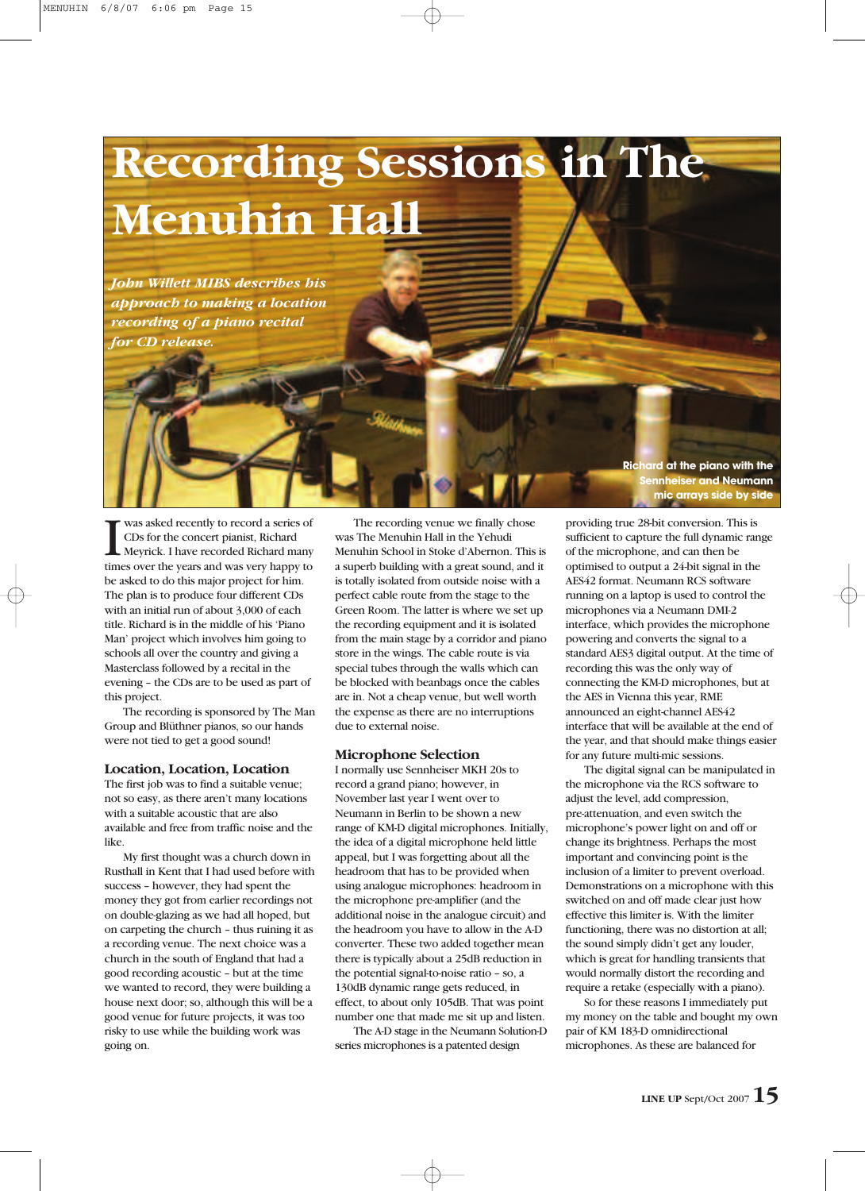

*John Willett MIBS describes his approach to making a location recording of a piano recital for CD release.*

**IN** was asked recently to record a series of CDs for the concert pianist, Richard Meyrick. I have recorded Richard many times over the years and was very happy to was asked recently to record a series of CDs for the concert pianist, Richard Meyrick. I have recorded Richard many be asked to do this major project for him. The plan is to produce four different CDs with an initial run of about 3,000 of each title. Richard is in the middle of his 'Piano Man' project which involves him going to schools all over the country and giving a Masterclass followed by a recital in the evening – the CDs are to be used as part of this project.

The recording is sponsored by The Man Group and Blüthner pianos, so our hands were not tied to get a good sound!

#### **Location, Location, Location**

The first job was to find a suitable venue; not so easy, as there aren't many locations with a suitable acoustic that are also available and free from traffic noise and the like.

My first thought was a church down in Rusthall in Kent that I had used before with success – however, they had spent the money they got from earlier recordings not on double-glazing as we had all hoped, but on carpeting the church – thus ruining it as a recording venue. The next choice was a church in the south of England that had a good recording acoustic – but at the time we wanted to record, they were building a house next door; so, although this will be a good venue for future projects, it was too risky to use while the building work was going on.

The recording venue we finally chose was The Menuhin Hall in the Yehudi Menuhin School in Stoke d'Abernon. This is a superb building with a great sound, and it is totally isolated from outside noise with a perfect cable route from the stage to the Green Room. The latter is where we set up the recording equipment and it is isolated from the main stage by a corridor and piano store in the wings. The cable route is via special tubes through the walls which can be blocked with beanbags once the cables are in. Not a cheap venue, but well worth the expense as there are no interruptions due to external noise.

#### **Microphone Selection**

I normally use Sennheiser MKH 20s to record a grand piano; however, in November last year I went over to Neumann in Berlin to be shown a new range of KM-D digital microphones. Initially, the idea of a digital microphone held little appeal, but I was forgetting about all the headroom that has to be provided when using analogue microphones: headroom in the microphone pre-amplifier (and the additional noise in the analogue circuit) and the headroom you have to allow in the A-D converter. These two added together mean there is typically about a 25dB reduction in the potential signal-to-noise ratio – so, a 130dB dynamic range gets reduced, in effect, to about only 105dB. That was point number one that made me sit up and listen.

The A-D stage in the Neumann Solution-D series microphones is a patented design

**Richard at the piano with the Sennheiser and Neumann mic arrays side by side**

providing true 28-bit conversion. This is sufficient to capture the full dynamic range of the microphone, and can then be optimised to output a 24-bit signal in the AES42 format. Neumann RCS software running on a laptop is used to control the microphones via a Neumann DMI-2 interface, which provides the microphone powering and converts the signal to a standard AES3 digital output. At the time of recording this was the only way of connecting the KM-D microphones, but at the AES in Vienna this year, RME announced an eight-channel AES42 interface that will be available at the end of the year, and that should make things easier for any future multi-mic sessions.

The digital signal can be manipulated in the microphone via the RCS software to adjust the level, add compression, pre-attenuation, and even switch the microphone's power light on and off or change its brightness. Perhaps the most important and convincing point is the inclusion of a limiter to prevent overload. Demonstrations on a microphone with this switched on and off made clear just how effective this limiter is. With the limiter functioning, there was no distortion at all; the sound simply didn't get any louder, which is great for handling transients that would normally distort the recording and require a retake (especially with a piano).

So for these reasons I immediately put my money on the table and bought my own pair of KM 183-D omnidirectional microphones. As these are balanced for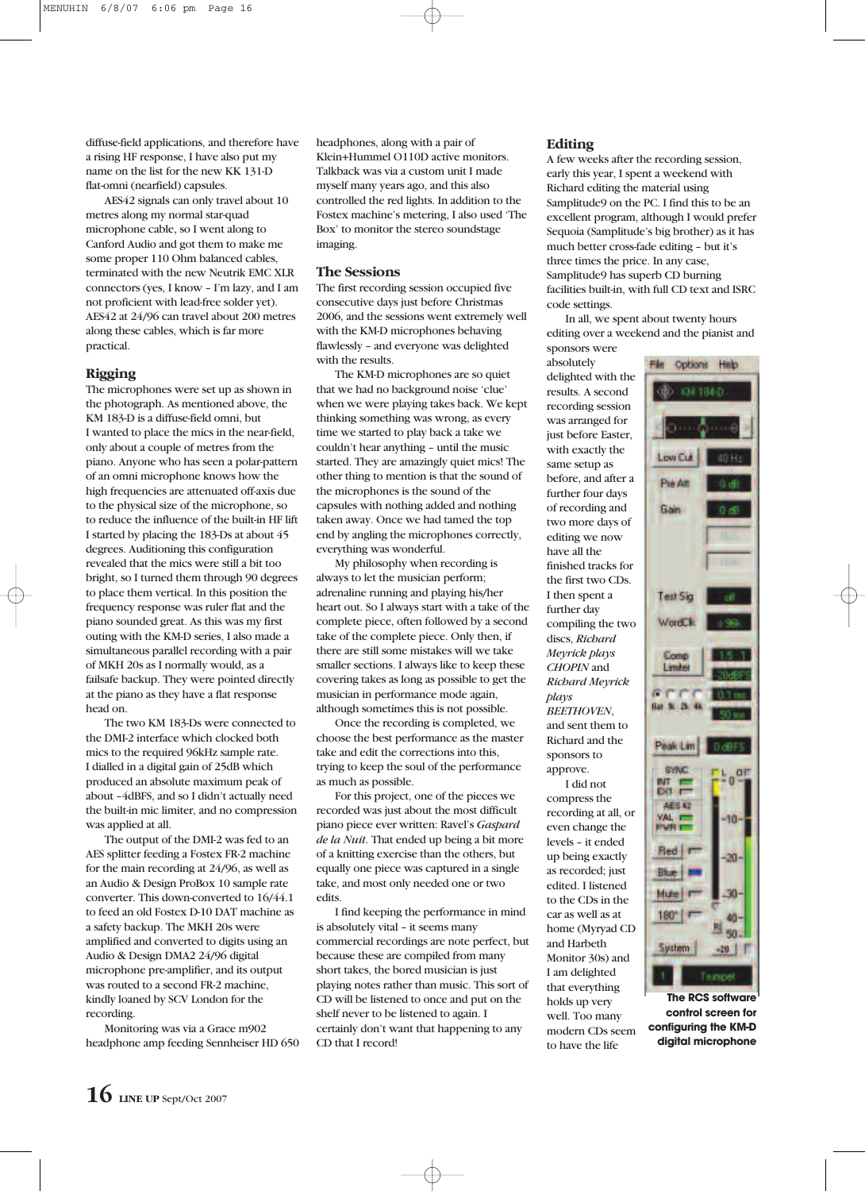diffuse-field applications, and therefore have a rising HF response, I have also put my name on the list for the new KK 131-D flat-omni (nearfield) capsules.

AES42 signals can only travel about 10 metres along my normal star-quad microphone cable, so I went along to Canford Audio and got them to make me some proper 110 Ohm balanced cables, terminated with the new Neutrik EMC XLR connectors (yes, I know – I'm lazy, and I am not proficient with lead-free solder yet). AES42 at 24/96 can travel about 200 metres along these cables, which is far more practical.

# **Rigging**

The microphones were set up as shown in the photograph. As mentioned above, the KM 183-D is a diffuse-field omni, but I wanted to place the mics in the near-field, only about a couple of metres from the piano. Anyone who has seen a polar-pattern of an omni microphone knows how the high frequencies are attenuated off-axis due to the physical size of the microphone, so to reduce the influence of the built-in HF lift I started by placing the 183-Ds at about 45 degrees. Auditioning this configuration revealed that the mics were still a bit too bright, so I turned them through 90 degrees to place them vertical. In this position the frequency response was ruler flat and the piano sounded great. As this was my first outing with the KM-D series, I also made a simultaneous parallel recording with a pair of MKH 20s as I normally would, as a failsafe backup. They were pointed directly at the piano as they have a flat response head on.

The two KM 183-Ds were connected to the DMI-2 interface which clocked both mics to the required 96kHz sample rate. I dialled in a digital gain of 25dB which produced an absolute maximum peak of about –4dBFS, and so I didn't actually need the built-in mic limiter, and no compression was applied at all.

The output of the DMI-2 was fed to an AES splitter feeding a Fostex FR-2 machine for the main recording at 24/96, as well as an Audio & Design ProBox 10 sample rate converter. This down-converted to 16/44.1 to feed an old Fostex D-10 DAT machine as a safety backup. The MKH 20s were amplified and converted to digits using an Audio & Design DMA2 24/96 digital microphone pre-amplifier, and its output was routed to a second FR-2 machine, kindly loaned by SCV London for the recording.

Monitoring was via a Grace m902 headphone amp feeding Sennheiser HD 650

headphones, along with a pair of Klein+Hummel O110D active monitors. Talkback was via a custom unit I made myself many years ago, and this also controlled the red lights. In addition to the Fostex machine's metering, I also used 'The Box' to monitor the stereo soundstage imaging.

## **The Sessions**

The first recording session occupied five consecutive days just before Christmas 2006, and the sessions went extremely well with the KM-D microphones behaving flawlessly – and everyone was delighted with the results.

The KM-D microphones are so quiet that we had no background noise 'clue' when we were playing takes back. We kept thinking something was wrong, as every time we started to play back a take we couldn't hear anything – until the music started. They are amazingly quiet mics! The other thing to mention is that the sound of the microphones is the sound of the capsules with nothing added and nothing taken away. Once we had tamed the top end by angling the microphones correctly, everything was wonderful.

My philosophy when recording is always to let the musician perform; adrenaline running and playing his/her heart out. So I always start with a take of the complete piece, often followed by a second take of the complete piece. Only then, if there are still some mistakes will we take smaller sections. I always like to keep these covering takes as long as possible to get the musician in performance mode again, although sometimes this is not possible.

Once the recording is completed, we choose the best performance as the master take and edit the corrections into this, trying to keep the soul of the performance as much as possible.

For this project, one of the pieces we recorded was just about the most difficult piano piece ever written: Ravel's *Gaspard de la Nuit*. That ended up being a bit more of a knitting exercise than the others, but equally one piece was captured in a single take, and most only needed one or two edits.

I find keeping the performance in mind is absolutely vital – it seems many commercial recordings are note perfect, but because these are compiled from many short takes, the bored musician is just playing notes rather than music. This sort of CD will be listened to once and put on the shelf never to be listened to again. I certainly don't want that happening to any CD that I record!

### **Editing**

absolutely

results. A second recording session was arranged for just before Easter, with exactly the same setup as before, and after a further four days of recording and two more days of editing we now have all the finished tracks for the first two CDs. I then spent a further day

discs, *Richard Meyrick plays CHOPIN* and *Richard Meyrick*

and Harbeth Monitor 30s) and I am delighted that everything holds up very well. Too many modern CDs seem to have the life

*plays BEETHOVEN*, and sent them to Richard and the sponsors to approve. I did not compress the recording at all, or even change the levels – it ended up being exactly as recorded; just edited. I listened to the CDs in the car as well as at

A few weeks after the recording session, early this year, I spent a weekend with Richard editing the material using Samplitude9 on the PC. I find this to be an excellent program, although I would prefer Sequoia (Samplitude's big brother) as it has much better cross-fade editing – but it's three times the price. In any case, Samplitude9 has superb CD burning facilities built-in, with full CD text and ISRC code settings.

In all, we spent about twenty hours editing over a weekend and the pianist and sponsors were



**The RCS software control screen for configuring the KM-D digital microphone**